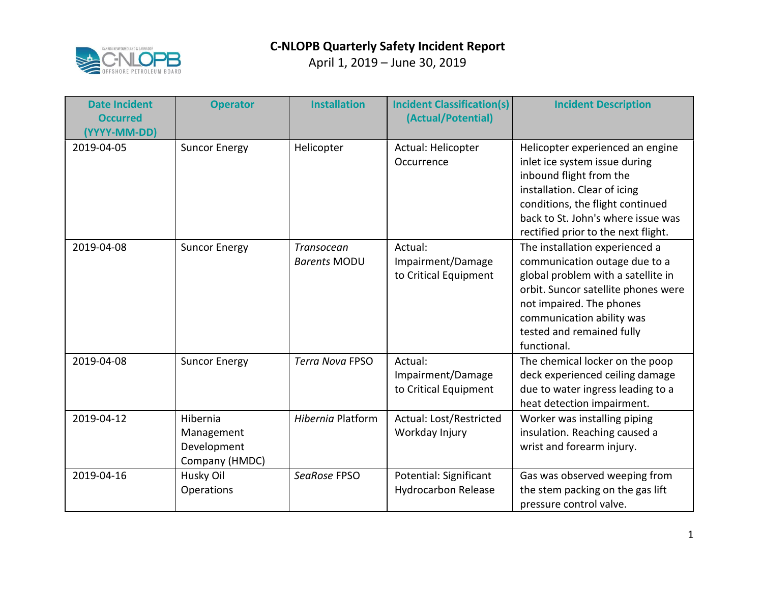

| <b>Date Incident</b><br><b>Occurred</b><br>(YYYY-MM-DD) | <b>Operator</b>                                         | <b>Installation</b>               | <b>Incident Classification(s)</b><br>(Actual/Potential) | <b>Incident Description</b>                                                                                                                                                                                                                       |
|---------------------------------------------------------|---------------------------------------------------------|-----------------------------------|---------------------------------------------------------|---------------------------------------------------------------------------------------------------------------------------------------------------------------------------------------------------------------------------------------------------|
| 2019-04-05                                              | <b>Suncor Energy</b>                                    | Helicopter                        | Actual: Helicopter<br>Occurrence                        | Helicopter experienced an engine<br>inlet ice system issue during<br>inbound flight from the<br>installation. Clear of icing<br>conditions, the flight continued<br>back to St. John's where issue was<br>rectified prior to the next flight.     |
| 2019-04-08                                              | <b>Suncor Energy</b>                                    | Transocean<br><b>Barents MODU</b> | Actual:<br>Impairment/Damage<br>to Critical Equipment   | The installation experienced a<br>communication outage due to a<br>global problem with a satellite in<br>orbit. Suncor satellite phones were<br>not impaired. The phones<br>communication ability was<br>tested and remained fully<br>functional. |
| 2019-04-08                                              | <b>Suncor Energy</b>                                    | <b>Terra Nova FPSO</b>            | Actual:<br>Impairment/Damage<br>to Critical Equipment   | The chemical locker on the poop<br>deck experienced ceiling damage<br>due to water ingress leading to a<br>heat detection impairment.                                                                                                             |
| 2019-04-12                                              | Hibernia<br>Management<br>Development<br>Company (HMDC) | Hibernia Platform                 | Actual: Lost/Restricted<br>Workday Injury               | Worker was installing piping<br>insulation. Reaching caused a<br>wrist and forearm injury.                                                                                                                                                        |
| 2019-04-16                                              | Husky Oil<br>Operations                                 | SeaRose FPSO                      | Potential: Significant<br><b>Hydrocarbon Release</b>    | Gas was observed weeping from<br>the stem packing on the gas lift<br>pressure control valve.                                                                                                                                                      |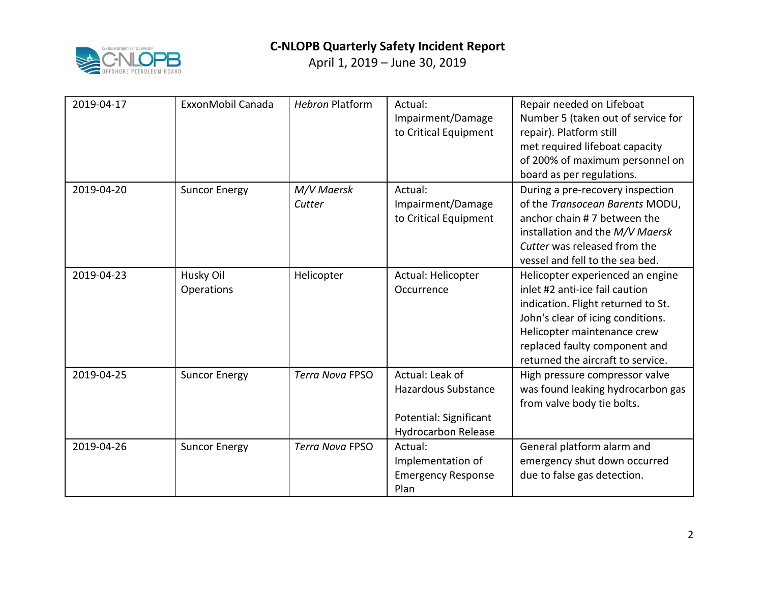

| 2019-04-17 | ExxonMobil Canada       | <b>Hebron Platform</b> | Actual:<br>Impairment/Damage<br>to Critical Equipment                                                 | Repair needed on Lifeboat<br>Number 5 (taken out of service for<br>repair). Platform still<br>met required lifeboat capacity<br>of 200% of maximum personnel on<br>board as per regulations.                                                       |
|------------|-------------------------|------------------------|-------------------------------------------------------------------------------------------------------|----------------------------------------------------------------------------------------------------------------------------------------------------------------------------------------------------------------------------------------------------|
| 2019-04-20 | <b>Suncor Energy</b>    | M/V Maersk<br>Cutter   | Actual:<br>Impairment/Damage<br>to Critical Equipment                                                 | During a pre-recovery inspection<br>of the Transocean Barents MODU,<br>anchor chain #7 between the<br>installation and the M/V Maersk<br>Cutter was released from the<br>vessel and fell to the sea bed.                                           |
| 2019-04-23 | Husky Oil<br>Operations | Helicopter             | Actual: Helicopter<br>Occurrence                                                                      | Helicopter experienced an engine<br>inlet #2 anti-ice fail caution<br>indication. Flight returned to St.<br>John's clear of icing conditions.<br>Helicopter maintenance crew<br>replaced faulty component and<br>returned the aircraft to service. |
| 2019-04-25 | <b>Suncor Energy</b>    | <b>Terra Nova FPSO</b> | Actual: Leak of<br><b>Hazardous Substance</b><br>Potential: Significant<br><b>Hydrocarbon Release</b> | High pressure compressor valve<br>was found leaking hydrocarbon gas<br>from valve body tie bolts.                                                                                                                                                  |
| 2019-04-26 | <b>Suncor Energy</b>    | <b>Terra Nova FPSO</b> | Actual:<br>Implementation of<br><b>Emergency Response</b><br>Plan                                     | General platform alarm and<br>emergency shut down occurred<br>due to false gas detection.                                                                                                                                                          |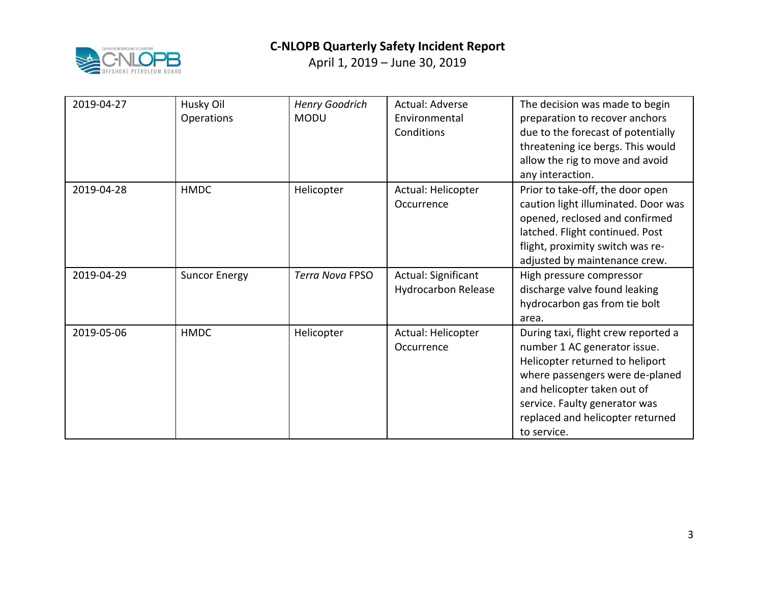



| 2019-04-27 | Husky Oil<br>Operations | <b>Henry Goodrich</b><br><b>MODU</b> | Actual: Adverse<br>Environmental<br>Conditions    | The decision was made to begin<br>preparation to recover anchors<br>due to the forecast of potentially<br>threatening ice bergs. This would<br>allow the rig to move and avoid<br>any interaction.                                                           |
|------------|-------------------------|--------------------------------------|---------------------------------------------------|--------------------------------------------------------------------------------------------------------------------------------------------------------------------------------------------------------------------------------------------------------------|
| 2019-04-28 | <b>HMDC</b>             | Helicopter                           | Actual: Helicopter<br>Occurrence                  | Prior to take-off, the door open<br>caution light illuminated. Door was<br>opened, reclosed and confirmed<br>latched. Flight continued. Post<br>flight, proximity switch was re-<br>adjusted by maintenance crew.                                            |
| 2019-04-29 | <b>Suncor Energy</b>    | <b>Terra Nova FPSO</b>               | Actual: Significant<br><b>Hydrocarbon Release</b> | High pressure compressor<br>discharge valve found leaking<br>hydrocarbon gas from tie bolt<br>area.                                                                                                                                                          |
| 2019-05-06 | <b>HMDC</b>             | Helicopter                           | Actual: Helicopter<br>Occurrence                  | During taxi, flight crew reported a<br>number 1 AC generator issue.<br>Helicopter returned to heliport<br>where passengers were de-planed<br>and helicopter taken out of<br>service. Faulty generator was<br>replaced and helicopter returned<br>to service. |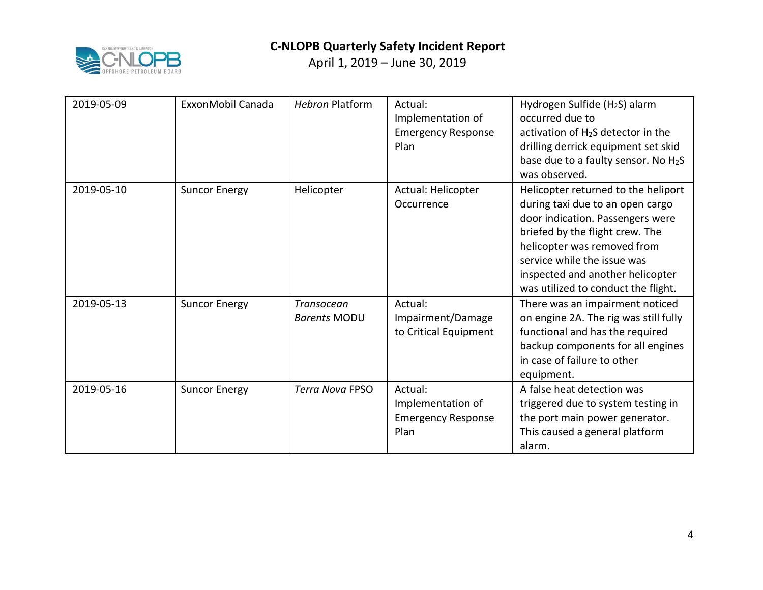

| 2019-05-09 | ExxonMobil Canada    | <b>Hebron Platform</b>                   | Actual:<br>Implementation of<br><b>Emergency Response</b><br>Plan | Hydrogen Sulfide (H <sub>2</sub> S) alarm<br>occurred due to<br>activation of H <sub>2</sub> S detector in the<br>drilling derrick equipment set skid<br>base due to a faulty sensor. No H2S<br>was observed.                                                                           |
|------------|----------------------|------------------------------------------|-------------------------------------------------------------------|-----------------------------------------------------------------------------------------------------------------------------------------------------------------------------------------------------------------------------------------------------------------------------------------|
| 2019-05-10 | <b>Suncor Energy</b> | Helicopter                               | Actual: Helicopter<br>Occurrence                                  | Helicopter returned to the heliport<br>during taxi due to an open cargo<br>door indication. Passengers were<br>briefed by the flight crew. The<br>helicopter was removed from<br>service while the issue was<br>inspected and another helicopter<br>was utilized to conduct the flight. |
| 2019-05-13 | <b>Suncor Energy</b> | <b>Transocean</b><br><b>Barents MODU</b> | Actual:<br>Impairment/Damage<br>to Critical Equipment             | There was an impairment noticed<br>on engine 2A. The rig was still fully<br>functional and has the required<br>backup components for all engines<br>in case of failure to other<br>equipment.                                                                                           |
| 2019-05-16 | <b>Suncor Energy</b> | <b>Terra Nova FPSO</b>                   | Actual:<br>Implementation of<br><b>Emergency Response</b><br>Plan | A false heat detection was<br>triggered due to system testing in<br>the port main power generator.<br>This caused a general platform<br>alarm.                                                                                                                                          |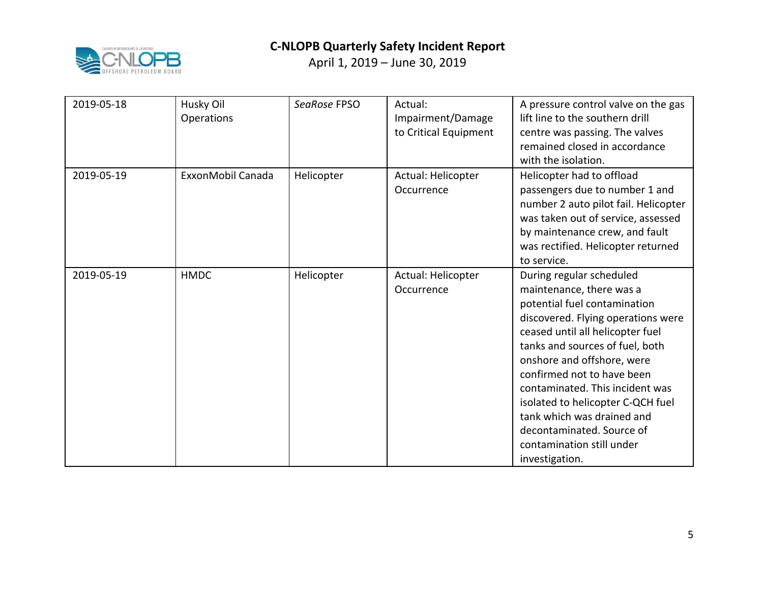

| 2019-05-18 | Husky Oil<br>Operations | SeaRose FPSO | Actual:<br>Impairment/Damage<br>to Critical Equipment | A pressure control valve on the gas<br>lift line to the southern drill<br>centre was passing. The valves<br>remained closed in accordance<br>with the isolation.                                                                                                                                                                                                                                                                                |
|------------|-------------------------|--------------|-------------------------------------------------------|-------------------------------------------------------------------------------------------------------------------------------------------------------------------------------------------------------------------------------------------------------------------------------------------------------------------------------------------------------------------------------------------------------------------------------------------------|
| 2019-05-19 | ExxonMobil Canada       | Helicopter   | Actual: Helicopter<br>Occurrence                      | Helicopter had to offload<br>passengers due to number 1 and<br>number 2 auto pilot fail. Helicopter<br>was taken out of service, assessed<br>by maintenance crew, and fault<br>was rectified. Helicopter returned<br>to service.                                                                                                                                                                                                                |
| 2019-05-19 | <b>HMDC</b>             | Helicopter   | Actual: Helicopter<br>Occurrence                      | During regular scheduled<br>maintenance, there was a<br>potential fuel contamination<br>discovered. Flying operations were<br>ceased until all helicopter fuel<br>tanks and sources of fuel, both<br>onshore and offshore, were<br>confirmed not to have been<br>contaminated. This incident was<br>isolated to helicopter C-QCH fuel<br>tank which was drained and<br>decontaminated. Source of<br>contamination still under<br>investigation. |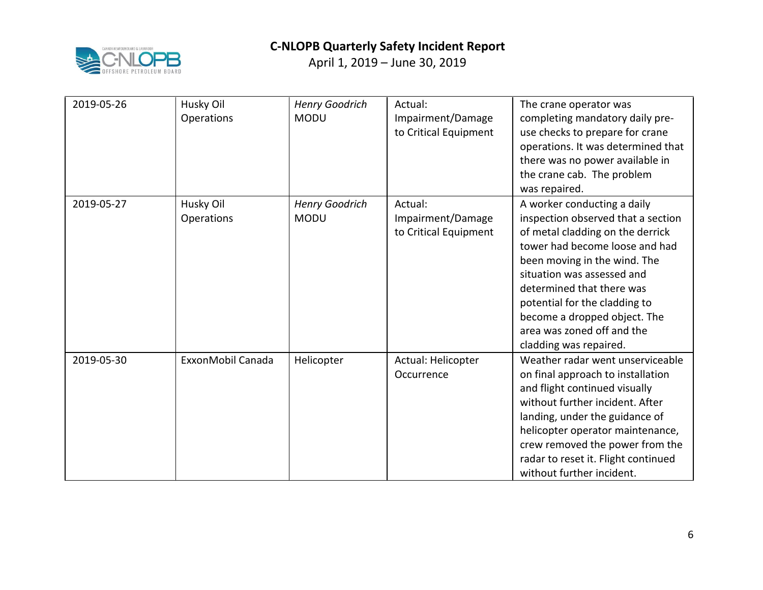

| 2019-05-26 | Husky Oil<br>Operations | <b>Henry Goodrich</b><br><b>MODU</b> | Actual:<br>Impairment/Damage<br>to Critical Equipment | The crane operator was<br>completing mandatory daily pre-<br>use checks to prepare for crane<br>operations. It was determined that<br>there was no power available in<br>the crane cab. The problem<br>was repaired.                                                                                                                                        |
|------------|-------------------------|--------------------------------------|-------------------------------------------------------|-------------------------------------------------------------------------------------------------------------------------------------------------------------------------------------------------------------------------------------------------------------------------------------------------------------------------------------------------------------|
| 2019-05-27 | Husky Oil<br>Operations | <b>Henry Goodrich</b><br><b>MODU</b> | Actual:<br>Impairment/Damage<br>to Critical Equipment | A worker conducting a daily<br>inspection observed that a section<br>of metal cladding on the derrick<br>tower had become loose and had<br>been moving in the wind. The<br>situation was assessed and<br>determined that there was<br>potential for the cladding to<br>become a dropped object. The<br>area was zoned off and the<br>cladding was repaired. |
| 2019-05-30 | ExxonMobil Canada       | Helicopter                           | Actual: Helicopter<br>Occurrence                      | Weather radar went unserviceable<br>on final approach to installation<br>and flight continued visually<br>without further incident. After<br>landing, under the guidance of<br>helicopter operator maintenance,<br>crew removed the power from the<br>radar to reset it. Flight continued<br>without further incident.                                      |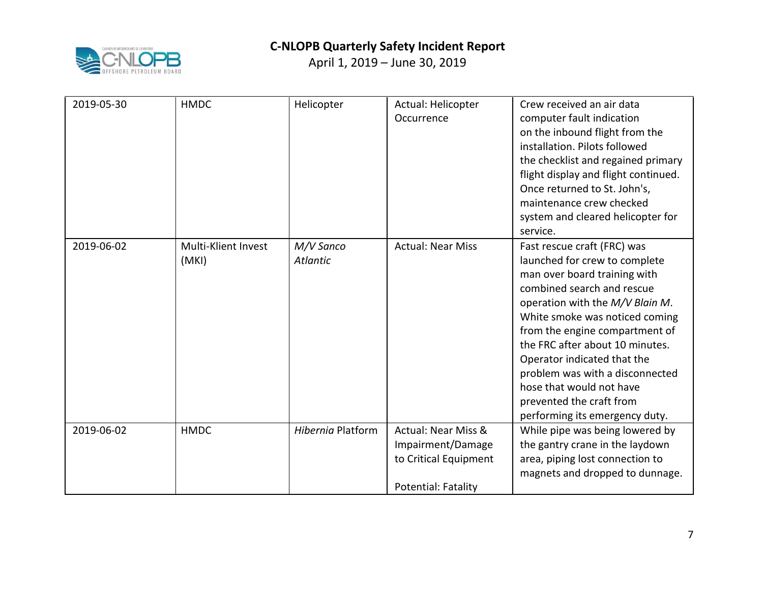

| 2019-05-30 | <b>HMDC</b>                  | Helicopter                   | Actual: Helicopter<br>Occurrence                                                                           | Crew received an air data<br>computer fault indication<br>on the inbound flight from the<br>installation. Pilots followed<br>the checklist and regained primary<br>flight display and flight continued.<br>Once returned to St. John's,<br>maintenance crew checked<br>system and cleared helicopter for<br>service.                                                                                                             |
|------------|------------------------------|------------------------------|------------------------------------------------------------------------------------------------------------|----------------------------------------------------------------------------------------------------------------------------------------------------------------------------------------------------------------------------------------------------------------------------------------------------------------------------------------------------------------------------------------------------------------------------------|
| 2019-06-02 | Multi-Klient Invest<br>(MKI) | M/V Sanco<br><b>Atlantic</b> | <b>Actual: Near Miss</b>                                                                                   | Fast rescue craft (FRC) was<br>launched for crew to complete<br>man over board training with<br>combined search and rescue<br>operation with the M/V Blain M.<br>White smoke was noticed coming<br>from the engine compartment of<br>the FRC after about 10 minutes.<br>Operator indicated that the<br>problem was with a disconnected<br>hose that would not have<br>prevented the craft from<br>performing its emergency duty. |
| 2019-06-02 | <b>HMDC</b>                  | Hibernia Platform            | <b>Actual: Near Miss &amp;</b><br>Impairment/Damage<br>to Critical Equipment<br><b>Potential: Fatality</b> | While pipe was being lowered by<br>the gantry crane in the laydown<br>area, piping lost connection to<br>magnets and dropped to dunnage.                                                                                                                                                                                                                                                                                         |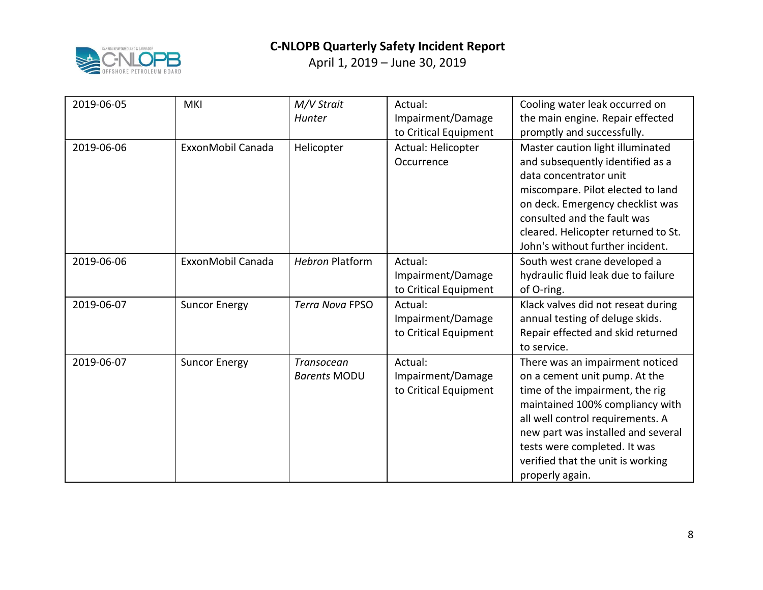

| 2019-06-05 | <b>MKI</b>           | M/V Strait<br>Hunter              | Actual:<br>Impairment/Damage<br>to Critical Equipment | Cooling water leak occurred on<br>the main engine. Repair effected<br>promptly and successfully.                                                                                                                                                                                                         |
|------------|----------------------|-----------------------------------|-------------------------------------------------------|----------------------------------------------------------------------------------------------------------------------------------------------------------------------------------------------------------------------------------------------------------------------------------------------------------|
| 2019-06-06 | ExxonMobil Canada    | Helicopter                        | Actual: Helicopter<br>Occurrence                      | Master caution light illuminated<br>and subsequently identified as a<br>data concentrator unit<br>miscompare. Pilot elected to land<br>on deck. Emergency checklist was<br>consulted and the fault was<br>cleared. Helicopter returned to St.<br>John's without further incident.                        |
| 2019-06-06 | ExxonMobil Canada    | <b>Hebron Platform</b>            | Actual:<br>Impairment/Damage<br>to Critical Equipment | South west crane developed a<br>hydraulic fluid leak due to failure<br>of O-ring.                                                                                                                                                                                                                        |
| 2019-06-07 | <b>Suncor Energy</b> | <b>Terra Nova FPSO</b>            | Actual:<br>Impairment/Damage<br>to Critical Equipment | Klack valves did not reseat during<br>annual testing of deluge skids.<br>Repair effected and skid returned<br>to service.                                                                                                                                                                                |
| 2019-06-07 | <b>Suncor Energy</b> | Transocean<br><b>Barents MODU</b> | Actual:<br>Impairment/Damage<br>to Critical Equipment | There was an impairment noticed<br>on a cement unit pump. At the<br>time of the impairment, the rig<br>maintained 100% compliancy with<br>all well control requirements. A<br>new part was installed and several<br>tests were completed. It was<br>verified that the unit is working<br>properly again. |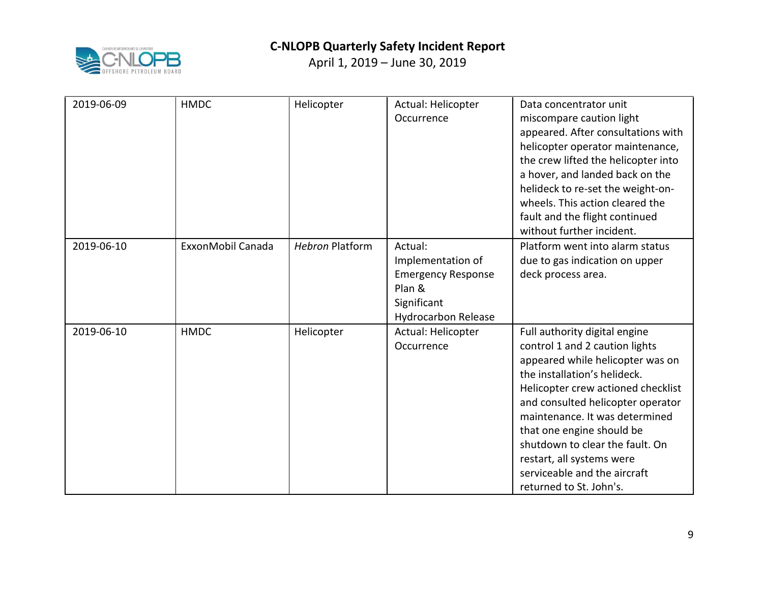

| 2019-06-09 | <b>HMDC</b>       | Helicopter             | Actual: Helicopter<br>Occurrence                                                                                 | Data concentrator unit<br>miscompare caution light<br>appeared. After consultations with<br>helicopter operator maintenance,<br>the crew lifted the helicopter into<br>a hover, and landed back on the<br>helideck to re-set the weight-on-<br>wheels. This action cleared the<br>fault and the flight continued<br>without further incident.                                                            |
|------------|-------------------|------------------------|------------------------------------------------------------------------------------------------------------------|----------------------------------------------------------------------------------------------------------------------------------------------------------------------------------------------------------------------------------------------------------------------------------------------------------------------------------------------------------------------------------------------------------|
| 2019-06-10 | ExxonMobil Canada | <b>Hebron Platform</b> | Actual:<br>Implementation of<br><b>Emergency Response</b><br>Plan &<br>Significant<br><b>Hydrocarbon Release</b> | Platform went into alarm status<br>due to gas indication on upper<br>deck process area.                                                                                                                                                                                                                                                                                                                  |
| 2019-06-10 | <b>HMDC</b>       | Helicopter             | Actual: Helicopter<br>Occurrence                                                                                 | Full authority digital engine<br>control 1 and 2 caution lights<br>appeared while helicopter was on<br>the installation's helideck.<br>Helicopter crew actioned checklist<br>and consulted helicopter operator<br>maintenance. It was determined<br>that one engine should be<br>shutdown to clear the fault. On<br>restart, all systems were<br>serviceable and the aircraft<br>returned to St. John's. |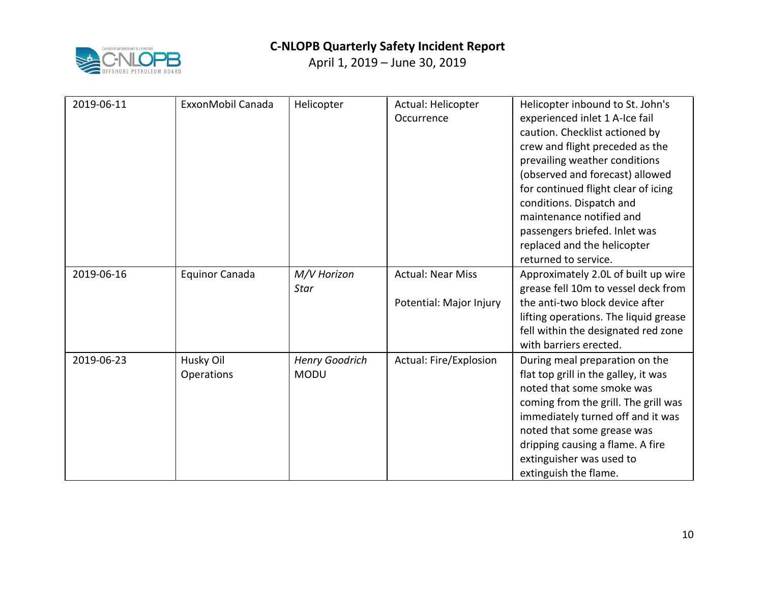

| 2019-06-11 | ExxonMobil Canada     | Helicopter            | Actual: Helicopter       | Helicopter inbound to St. John's                                          |
|------------|-----------------------|-----------------------|--------------------------|---------------------------------------------------------------------------|
|            |                       |                       | Occurrence               | experienced inlet 1 A-Ice fail                                            |
|            |                       |                       |                          | caution. Checklist actioned by                                            |
|            |                       |                       |                          | crew and flight preceded as the                                           |
|            |                       |                       |                          | prevailing weather conditions<br>(observed and forecast) allowed          |
|            |                       |                       |                          | for continued flight clear of icing                                       |
|            |                       |                       |                          | conditions. Dispatch and                                                  |
|            |                       |                       |                          | maintenance notified and                                                  |
|            |                       |                       |                          | passengers briefed. Inlet was                                             |
|            |                       |                       |                          | replaced and the helicopter                                               |
|            |                       |                       |                          | returned to service.                                                      |
| 2019-06-16 | <b>Equinor Canada</b> | M/V Horizon           | <b>Actual: Near Miss</b> | Approximately 2.0L of built up wire                                       |
|            |                       | Star                  |                          | grease fell 10m to vessel deck from                                       |
|            |                       |                       | Potential: Major Injury  | the anti-two block device after                                           |
|            |                       |                       |                          | lifting operations. The liquid grease                                     |
|            |                       |                       |                          | fell within the designated red zone                                       |
|            |                       |                       |                          | with barriers erected.                                                    |
| 2019-06-23 | Husky Oil             | <b>Henry Goodrich</b> | Actual: Fire/Explosion   | During meal preparation on the                                            |
|            | Operations            | <b>MODU</b>           |                          | flat top grill in the galley, it was<br>noted that some smoke was         |
|            |                       |                       |                          |                                                                           |
|            |                       |                       |                          | coming from the grill. The grill was<br>immediately turned off and it was |
|            |                       |                       |                          | noted that some grease was                                                |
|            |                       |                       |                          | dripping causing a flame. A fire                                          |
|            |                       |                       |                          | extinguisher was used to                                                  |
|            |                       |                       |                          | extinguish the flame.                                                     |